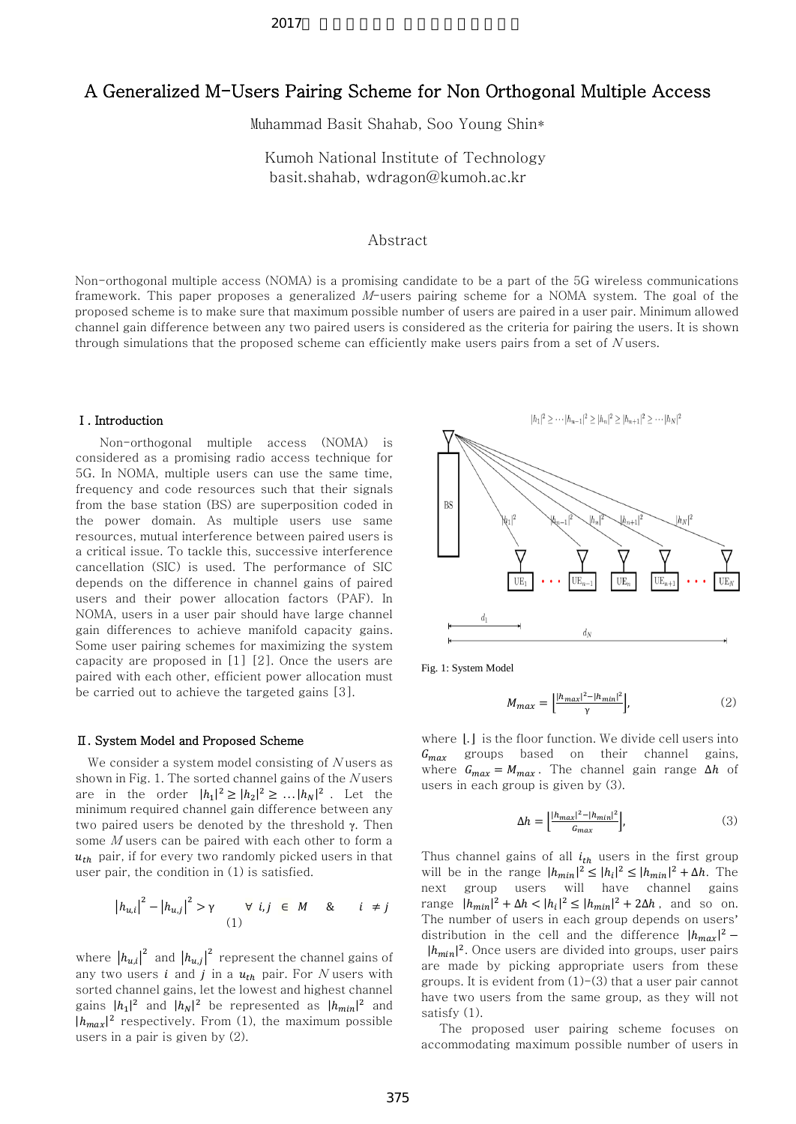# A Generalized M-Users Pairing Scheme for Non Orthogonal Multiple Access

Muhammad Basit Shahab, Soo Young Shin\*

Kumoh National Institute of Technology basit.shahab, wdragon@kumoh.ac.kr

## Abstract

Non-orthogonal multiple access (NOMA) is a promising candidate to be a part of the 5G wireless communications framework. This paper proposes a generalized M-users pairing scheme for a NOMA system. The goal of the proposed scheme is to make sure that maximum possible number of users are paired in a user pair. Minimum allowed channel gain difference between any two paired users is considered as the criteria for pairing the users. It is shown through simulations that the proposed scheme can efficiently make users pairs from a set of  $N$  users.

#### Ⅰ. Introduction

 Non-orthogonal multiple access (NOMA) is considered as a promising radio access technique for 5G. In NOMA, multiple users can use the same time, frequency and code resources such that their signals from the base station (BS) are superposition coded in the power domain. As multiple users use same resources, mutual interference between paired users is a critical issue. To tackle this, successive interference cancellation (SIC) is used. The performance of SIC depends on the difference in channel gains of paired users and their power allocation factors (PAF). In NOMA, users in a user pair should have large channel gain differences to achieve manifold capacity gains. Some user pairing schemes for maximizing the system capacity are proposed in [1] [2]. Once the users are paired with each other, efficient power allocation must be carried out to achieve the targeted gains [3].

#### Ⅱ. System Model and Proposed Scheme

We consider a system model consisting of  $N$  users as shown in Fig. 1. The sorted channel gains of the  $N$ users are in the order  $|h_1|^2 \geq |h_2|^2 \geq ... |h_N|^2$ . Let the minimum required channel gain difference between any two paired users be denoted by the threshold γ. Then some M users can be paired with each other to form a  $u_{th}$  pair, if for every two randomly picked users in that user pair, the condition in (1) is satisfied.

$$
|h_{u,i}|^2 - |h_{u,j}|^2 > \gamma \qquad \forall \ i,j \in M \qquad \& \qquad i \neq j
$$

where  $|h_{u,i}|^2$  and  $|h_{u,j}|^2$  represent the channel gains of any two users *i* and *j* in a  $u_{th}$  pair. For *N* users with sorted channel gains, let the lowest and highest channel gains  $|h_1|^2$  and  $|h_N|^2$  be represented as  $|h_{min}|^2$  and  $|h_{max}|^2$  respectively. From (1), the maximum possible users in a pair is given by (2).



Fig. 1: System Model

$$
M_{max} = \left[\frac{|h_{max}|^2 - |h_{min}|^2}{\gamma}\right],\tag{2}
$$

where  $\lfloor . \rfloor$  is the floor function. We divide cell users into  $G_{max}$  groups based on their channel gains, where  $G_{max} = M_{max}$ . The channel gain range ∆h of users in each group is given by (3).

$$
\Delta h = \left[ \frac{|h_{max}|^2 - |h_{min}|^2}{G_{max}} \right],\tag{3}
$$

Thus channel gains of all  $i_{th}$  users in the first group will be in the range  $|h_{min}|^2 \leq |h_i|^2 \leq |h_{min}|^2 + \Delta h.$  The next group users will have channel gains range  $|h_{min}|^2 + \Delta h < |h_i|^2 \leq |h_{min}|^2 + 2\Delta h$ , and so on. The number of users in each group depends on users' distribution in the cell and the difference  $|h_{max}|^2$  –  $|h_{min}|^2$ . Once users are divided into groups, user pairs are made by picking appropriate users from these groups. It is evident from  $(1)-(3)$  that a user pair cannot have two users from the same group, as they will not satisfy (1).

The proposed user pairing scheme focuses on accommodating maximum possible number of users in